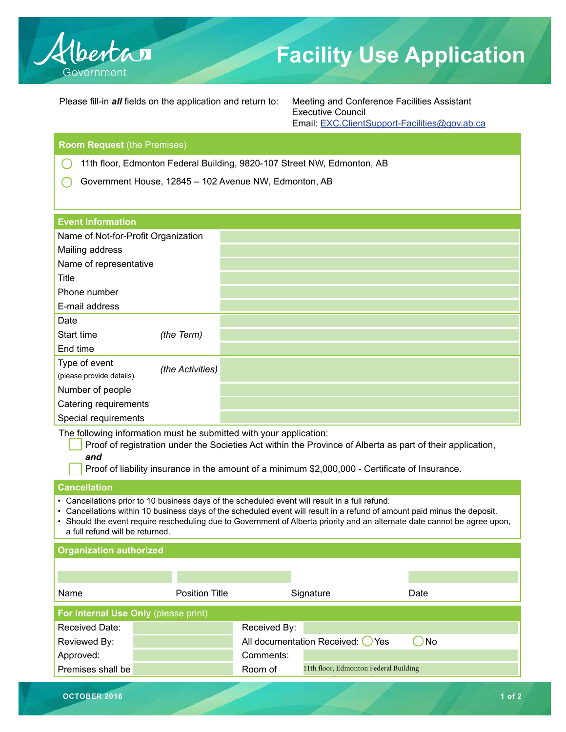

# **Facility Use Application**

Please fill-in *all* fields on the application and return to: Meeting and Conference Facilities Assistant

Executive Council Email: EXC.ClientSupport-Facilities@gov.ab.ca

#### **Room Request** (the Premises)

11th floor, Edmonton Federal Building, 9820-107 Street NW, Edmonton, AB  $\left(\begin{array}{c} 1 \end{array}\right)$ 

Government House, 12845 – 102 Avenue NW, Edmonton, AB  $\bigcap$ 

| <b>Event Information</b>                  |                  |  |
|-------------------------------------------|------------------|--|
| Name of Not-for-Profit Organization       |                  |  |
| Mailing address                           |                  |  |
| Name of representative                    |                  |  |
| <b>Title</b>                              |                  |  |
| Phone number                              |                  |  |
| E-mail address                            |                  |  |
| Date                                      |                  |  |
| Start time                                | (the Term)       |  |
| End time                                  |                  |  |
| Type of event<br>(please provide details) | (the Activities) |  |
| Number of people                          |                  |  |
| Catering requirements                     |                  |  |
| Special requirements                      |                  |  |

The following information must be submitted with your application:

Proof of registration under the Societies Act within the Province of Alberta as part of their application, *and*

Proof of liability insurance in the amount of a minimum \$2,000,000 - Certificate of Insurance.

#### **Cancellation**

- Cancellations prior to 10 business days of the scheduled event will result in a full refund.
- Cancellations within 10 business days of the scheduled event will result in a refund of amount paid minus the deposit.

• Should the event require rescheduling due to Government of Alberta priority and an alternate date cannot be agree upon, a full refund will be returned.

| <b>Organization authorized</b>       |                       |              |                                       |      |            |  |  |  |
|--------------------------------------|-----------------------|--------------|---------------------------------------|------|------------|--|--|--|
|                                      |                       |              |                                       |      |            |  |  |  |
|                                      |                       |              |                                       |      |            |  |  |  |
| Name                                 | <b>Position Title</b> |              | Signature                             | Date |            |  |  |  |
| For Internal Use Only (please print) |                       |              |                                       |      |            |  |  |  |
| Received Date:                       |                       | Received By: |                                       |      |            |  |  |  |
| Reviewed By:                         |                       |              | All documentation Received: O Yes     | No   |            |  |  |  |
| Approved:                            |                       | Comments:    |                                       |      |            |  |  |  |
| Premises shall be                    |                       | Room of      | 11th floor, Edmonton Federal Building |      |            |  |  |  |
|                                      |                       |              |                                       |      |            |  |  |  |
| OCTOBER 2016                         |                       |              |                                       |      | $1$ of $2$ |  |  |  |
|                                      |                       |              |                                       |      |            |  |  |  |